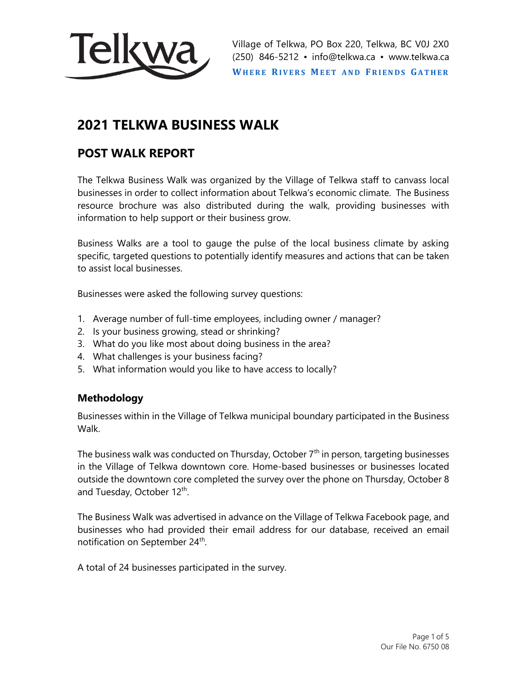

Village of Telkwa, PO Box 220, Telkwa, BC V0J 2X0 (250) 846-5212 • info@telkwa.ca • www.telkwa.ca **WHERE RIVERS MEET AND FRIENDS GATHER** 

# **2021 TELKWA BUSINESS WALK**

# **POST WALK REPORT**

The Telkwa Business Walk was organized by the Village of Telkwa staff to canvass local businesses in order to collect information about Telkwa's economic climate. The Business resource brochure was also distributed during the walk, providing businesses with information to help support or their business grow.

Business Walks are a tool to gauge the pulse of the local business climate by asking specific, targeted questions to potentially identify measures and actions that can be taken to assist local businesses.

Businesses were asked the following survey questions:

- 1. Average number of full-time employees, including owner / manager?
- 2. Is your business growing, stead or shrinking?
- 3. What do you like most about doing business in the area?
- 4. What challenges is your business facing?
- 5. What information would you like to have access to locally?

# **Methodology**

Businesses within in the Village of Telkwa municipal boundary participated in the Business Walk.

The business walk was conducted on Thursday, October  $7<sup>th</sup>$  in person, targeting businesses in the Village of Telkwa downtown core. Home-based businesses or businesses located outside the downtown core completed the survey over the phone on Thursday, October 8 and Tuesday, October 12<sup>th</sup>.

The Business Walk was advertised in advance on the Village of Telkwa Facebook page, and businesses who had provided their email address for our database, received an email notification on September 24<sup>th</sup>.

A total of 24 businesses participated in the survey.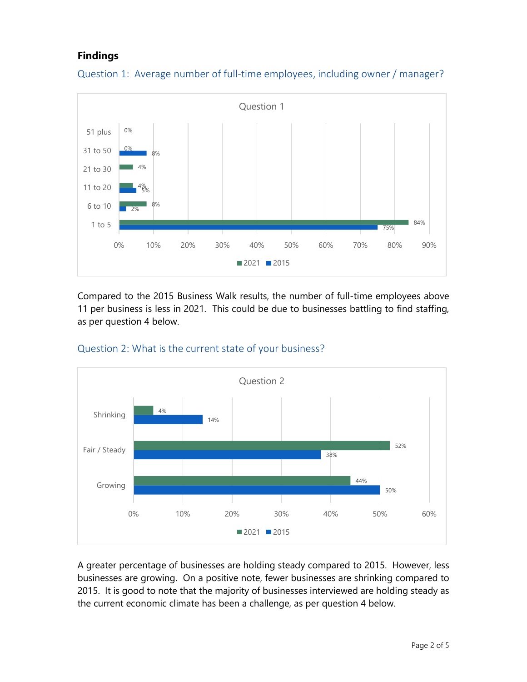# **Findings**



Question 1: Average number of full-time employees, including owner / manager?

Compared to the 2015 Business Walk results, the number of full-time employees above 11 per business is less in 2021. This could be due to businesses battling to find staffing, as per question 4 below.



#### Question 2: What is the current state of your business?

A greater percentage of businesses are holding steady compared to 2015. However, less businesses are growing. On a positive note, fewer businesses are shrinking compared to 2015. It is good to note that the majority of businesses interviewed are holding steady as the current economic climate has been a challenge, as per question 4 below.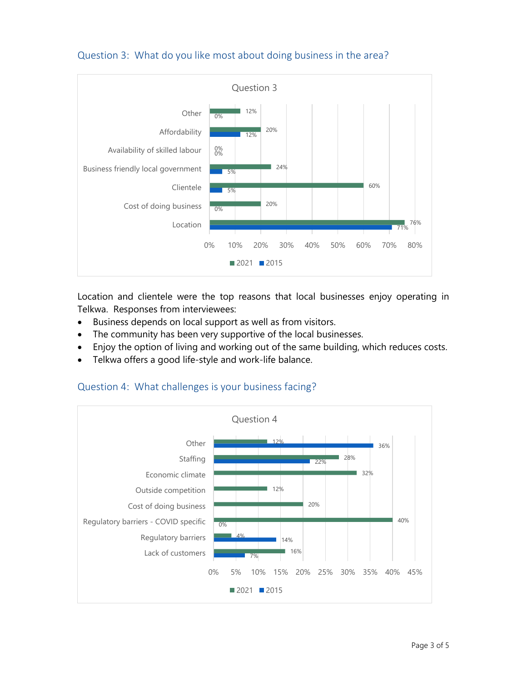

Question 3: What do you like most about doing business in the area?

Location and clientele were the top reasons that local businesses enjoy operating in Telkwa. Responses from interviewees:

- Business depends on local support as well as from visitors.
- The community has been very supportive of the local businesses.
- Enjoy the option of living and working out of the same building, which reduces costs.
- Telkwa offers a good life-style and work-life balance.

#### Question 4: What challenges is your business facing?

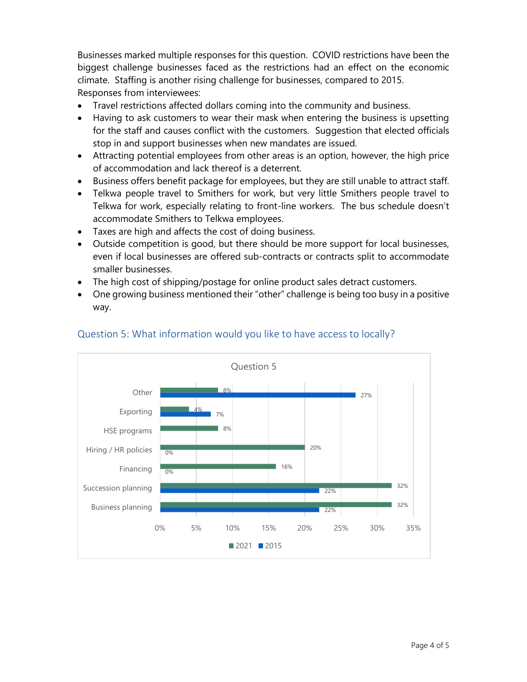Businesses marked multiple responses for this question. COVID restrictions have been the biggest challenge businesses faced as the restrictions had an effect on the economic climate. Staffing is another rising challenge for businesses, compared to 2015. Responses from interviewees:

- Travel restrictions affected dollars coming into the community and business.
- Having to ask customers to wear their mask when entering the business is upsetting for the staff and causes conflict with the customers. Suggestion that elected officials stop in and support businesses when new mandates are issued.
- Attracting potential employees from other areas is an option, however, the high price of accommodation and lack thereof is a deterrent.
- Business offers benefit package for employees, but they are still unable to attract staff.
- Telkwa people travel to Smithers for work, but very little Smithers people travel to Telkwa for work, especially relating to front-line workers. The bus schedule doesn't accommodate Smithers to Telkwa employees.
- Taxes are high and affects the cost of doing business.
- Outside competition is good, but there should be more support for local businesses, even if local businesses are offered sub-contracts or contracts split to accommodate smaller businesses.
- The high cost of shipping/postage for online product sales detract customers.
- One growing business mentioned their "other" challenge is being too busy in a positive way.



## Question 5: What information would you like to have access to locally?